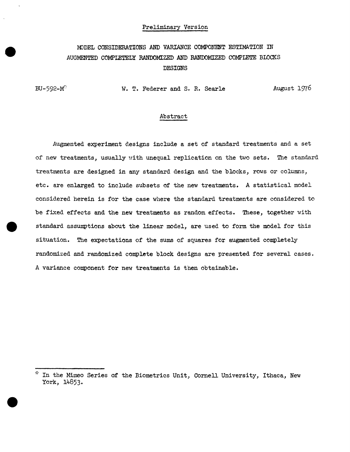### Preliminary Version

# MODEL CONSIDERATIONS AND VARIANCE COMPONENT ESTIMATION IN AUGMENTED COMPLETELY RANDOMIZED AND RANDOMIZED COMPLETE BLOCKS DESIGNS

BU-592- $M^{\circ}$  W. T. Federer and S. R. Searle August 1976

# Abstract

Augmented experiment designs include a set of standard treatments and a set of new treatments, usually with unequal replication on the two sets. The standard treatments are designed in any standard design and the blocks, rows or columns, etc. are enlarged to include subsets of the new treatments. A statistical model considered herein is for the case where the standard treatments are considered to be fixed effects and the new treatments as random effects. These, together with standard assumptions about the linear model, are used to form the model for this situation. The expectations of the sums of squares for augmented completely randomized and randomized complete block designs are presented for several cases. A variance component for new treatments is then obtainable.

 $*$  In the Mimeo Series of the Biometrics Unit, Cornell University, Ithaca, New York, 14853·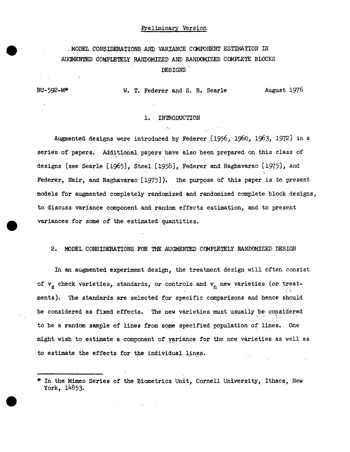## Preliminary Version

# . MODEL CONSIDERATIONS AND VARIANCE COMPONENT ESTIMATION IN AUGMENTED COMPLETELY RANDOMIZED AND RANDOMIZED COMPLETE BLOCKS DESIGNS

# BU-592-M\* W. T. Federer and s. R. Searle August 1976

#### 1. INTRODUCTION

 $\sim 100$ 

Augmented designs were introduced by Federer [1956, 1960, 1963, 1972) in a series of papers. Additional papers have also been prepared on this class of designs (see Searle [1965], Steel [1958], Federer and Raghavarao [1975], and Federer, Nair, and Raghavarao [1975]). The purpose of this paper is to present models for augmented completely randomized and randomized complete block designs, to discuss variance component and random effects estimation, and to present variances for some of the estimated quantities.

#### 2. MODEL CONSIDERATIONS FOR THE AUGMENTED COMPLETELY RANDOMIZED DESIGN

In an augmented experiment design, the treatment design will often consist of  $v_{\rm s}$  check varieties, standards, or controls and  $v_{\rm n}$  new varieties (or treat-'. ments). The standards are selected for specific comparisons and hence should be considered as fixed effects. The new varieties must usually be considered to be a random sample of lines from some specified population of lines. One might wish to estimate a component of variance for the new varieties as well as to estimate the effects for the individual lines.  $\Delta \phi = \phi_{\rm eff} \phi_{\rm eff}$  of  $\phi_{\rm eff}$  $\pm 80^{\circ}$  erg .

<sup>•</sup> In the Mimeo Series of the Biometrics Unit, Cornell University, Ithaca, New York, 14853.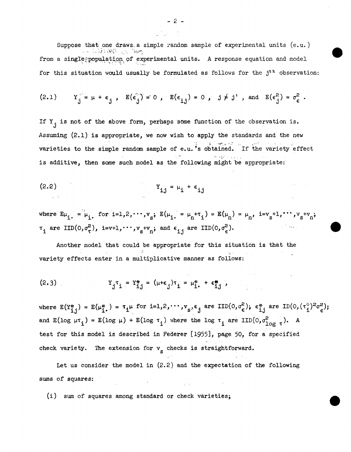Suppose that one draws, a simple random sample of experimental units (e.u.) . ... . ...  $\mathcal{L}^*$ from a single population of experimental units. A response equation and model for this situation would usually be formulated as follows for the  $j<sup>th</sup>$  observation:

$$
(2.1) \t Y_j^0 = \mu + \epsilon_j, \t E(\epsilon_j^0) = 0, \t E(\epsilon_{ij}) = 0, \t j \neq j^1, \t and \t E(\epsilon_j^2) = \sigma_{\epsilon}^2.
$$

If  $Y_{j}$  is not of the above form, perhaps some function of the observation is. Assuming (2.1) is appropriate, we now wish to apply the standards and the new varieties to the simple random sample of e.u. 's obtained. If the variety effect is additive, then some such model as the following might be appropriate:

$$
Y_{i,j} = \mu_i + \epsilon_{i,j}
$$

where  $E\mu_{i} = \mu_{i}$ , for  $i=1,2,\cdots,v_{s}$ ;  $E(\mu_{i} = \mu_{n} + \tau_{i}) = E(\mu_{n}) = \mu_{n}$ ,  $i=v_{s}+1,\cdots,v_{s}+v_{n}$ ;  $\tau_i$  are IID(0, $\sigma_{\tau}^2$ ), i=v+1,  $\cdots$ ,  $v_g$ + $v_n$ ; and  $\epsilon_{i,j}$  are IID(0, $\sigma_{\epsilon}^2$ ).  $\alpha$  ,  $\beta$  ,  $\alpha$  ,  $\alpha$ 

Another model that could be appropriate for this situation is that the ·,' variety effects enter in a multiplicative manner as follows:

(2.3) 
$$
Y_{j}^{\tau} = Y_{i,j}^{*} = (\mu + \epsilon_{j})^{\tau} = \mu_{i}^{*} + \epsilon_{i,j}^{*},
$$

where  $E(Y_{ij}^*) = E(\mu_{i}^*) = \tau_i \mu$  for  $i=1,2,\cdots,v_s, \epsilon_j$  are  $IID(0,\sigma_{\epsilon}^2)$ ;  $\epsilon_{ij}^*$  are  $ID(0,(\tau_i^2)^2 \sigma_{\epsilon}^2)$ ; and  $E(\log \mu \tau_i) = E(\log \mu) + E(\log \tau_i)$  where the log  $\tau_i$  are IID(0, $\sigma^2_{\log \tau}$ ). A test for this model is described in Federer [1955], page 50, for a specified check variety. The extension for  $v_g$  checks is straightforward.

 $\frac{1}{2}$  ,  $\frac{1}{2}$  ,  $\frac{1}{2}$  ,  $\frac{1}{2}$ 

Let us consider the model in (2.2) and the expectation of the following sums of squares:

(i) sum of squares among standard or check varieties;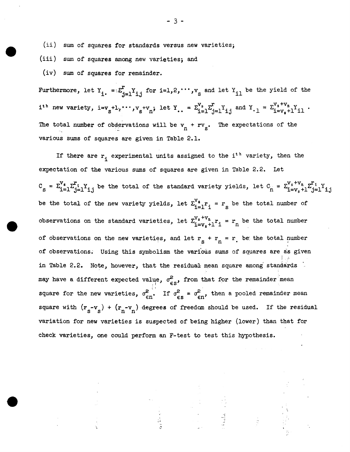(ii) sum of squares *tor* standards versus new varieties;

(iii) sum of squares among new varieties; and

(iv) sum of squares for remainder.

Furthermore, let  $Y_i = \sum_{j=1}^T Y_{i,j}$  for  $i=1,2,\cdots,v_{s}$  and let  $Y_{i1}$  be the yield of the  $i$ <sup>th</sup> new variety,  $i=v_s+1$ ,  $\cdots$ ,  $v_s+v_n$ ; let Y<sub>.</sub>. =  $\sum_{i=1}^{V_s}\sum_{j=1}^T Y_{i,j}$  and  $Y_{\cdot 1} = \sum_{i=v_s+1}^{V_s+v_n} Y_{i1}$ . The total number of observations will be  $v_n + rv_s$ . The expectations of the various sums of squares are given in Table 2.1.

If there are  $r_i$  experimental units assigned to the i<sup>th</sup> variety, then the expectation of the various sums of squares are given in Table 2.2. Let  $C_S = \sum_{i=1}^{V_s} \sum_{j=1}^{r_i} Y_{i,j}$  be the total of the standard variety yields, let  $C_n = \sum_{i=v_s+1}^{V_s+v_n} \sum_{j=1}^{r_i} Y_{i,j}$ be the total of the new variety yields, let  $\Sigma_{i=1}^{V_s} r_i = r_s$  be the total number of observations on the standard varieties, let  $\sum_{i=v_{n}+1}^{V_{s}+V_{n}} r_{i} = r_{n}$  be the total number of observations on the new varieties, and let  $r_s + r_n = r$ , be the total number of observations. Using this symbolism the various sums of squares are as given  $\mathbf{I} \in \mathbb{R}^n$ in Table 2.2. Note, however, that the residual mean square among standards. may have a different expected value,  $\sigma_{\epsilon s}^2$ , from that for the remainder mean square for the new varieties,  $\sigma_{\epsilon n}^2$ . If  $\sigma_{\epsilon s}^2 = \sigma_{\epsilon n}^2$ , then a pooled remainder mean square with  $(r_s - v_s) + (r_n - v_n)$  degrees of freedom should be used. If the residual variation for new varieties is suspected of being higher {lower) than that for check varieties, one could perform an F-test to test this hypothesis.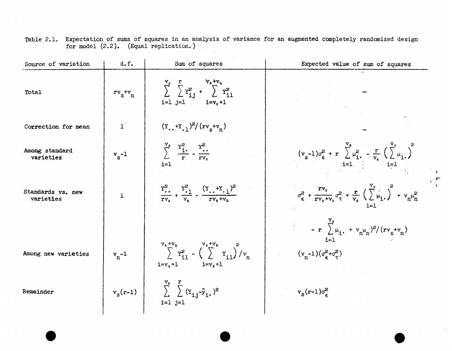| Source of variation            | d.f.           | Sum of squares                                                                                                        | Expected value of sum of squares                                                                                                                      |
|--------------------------------|----------------|-----------------------------------------------------------------------------------------------------------------------|-------------------------------------------------------------------------------------------------------------------------------------------------------|
| Total                          | $rv_s$ + $v_n$ | $\sum_{i=1}^{v_s} \sum_{i=1}^{r} Y_{i,i}^2 + \sum_{i=1}^{v_s+v_n} Y_{i,1}^2$<br>$i=1$ $j=1$ $i=v_s+1$                 |                                                                                                                                                       |
| Correction for mean            | $\mathbf{I}$   | $(Y_{.}.+Y_{.1})^2/(rv_{.}+v_{n})$                                                                                    |                                                                                                                                                       |
| Among standard<br>varieties    | $v_{s}$ -1     | $\sum_{r}^{V_s} \frac{Y_i^2}{r} - \frac{Y_i^2}{rV_s}$<br>$i = 1$                                                      | $(v_s-1)\sigma_{\epsilon}^2 + r \sum_{i=1}^{v_s} \mu_{i}^2 - \frac{r}{v_s} (\sum_{i=1}^{v_s} \mu_{i})^2$                                              |
| Standards vs. new<br>varieties | $\mathbf{1}$   | $\frac{Y_{\cdot}^{2}}{rv_{-}} + \frac{Y_{\cdot}^{2}}{v_{-}} - \frac{(Y_{\cdot} + Y_{\cdot})^{2}}{rv_{\cdot} + v_{n}}$ | $\sigma_{\epsilon}^{2} + \frac{rv_{s}}{rv_{s}+v_{n}}\sigma_{\tau}^{2} + \frac{r}{v_{s}}\left(\sum_{i=1}^{v_{s}}\mu_{i}\right)^{2} + v_{n}\mu_{n}^{2}$ |
|                                |                |                                                                                                                       | $\sum_{i=1}^{v_s} \mu_i + v_n \mu_n$ <sup>2</sup> /(rv <sub>s</sub> +v <sub>n</sub> )                                                                 |
| Among new varieties            | $v_n - 1$      | $V_s + V_n$<br>$\sum_{i=1}^{V_s + V_n} Y_{i1}^2 - (\sum_{i=1}^{V_s + V_n} Y_{i1})^2 / v_n$<br>$i=v_s+1$ $i=v_s+1$     | $i=1$<br>$(v_n-1)(\sigma_c^2+\sigma_\tau^2)$                                                                                                          |
| Remainder                      | $v_s(r-1)$     | $\sum_{i}^{V_s} \sum_{i}^{r} (Y_{i,j} - \overline{y}_{i})^2$<br>$i=1$ $j=1$                                           | $v_s(r-1)\sigma_c^2$                                                                                                                                  |

 $\bullet$ 

 $\bullet$ 

 $_+$ 

 $\mathbf{I}$ 

e

 $\sim$ 

Table 2.1. Expectation of sums of squares in an analysis of variance for an augmented completely randomized design for model (2.2). (Equal replication.)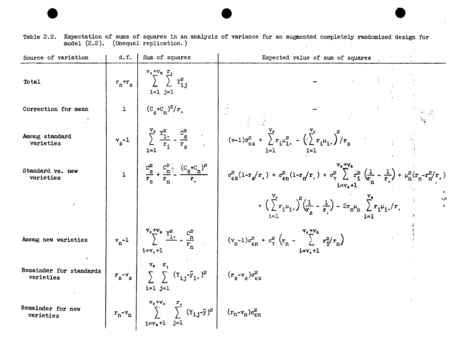| Table 2.2. Expectation of sums of squares in an analysis of variance for an augmented completely randomized design for |  |  |  |  |  |  |  |
|------------------------------------------------------------------------------------------------------------------------|--|--|--|--|--|--|--|
| model (2.2). (Unequal replication.)                                                                                    |  |  |  |  |  |  |  |

e e e

| Source of variation                  | d.f.         | Sum of squares                                                                                                                                        | Expected value of sum of squares                                                                                                                                                                     |
|--------------------------------------|--------------|-------------------------------------------------------------------------------------------------------------------------------------------------------|------------------------------------------------------------------------------------------------------------------------------------------------------------------------------------------------------|
| Total                                | $r_n+r_s$    | $\sum_{i,j}^{v_s+v_n} \sum_{i,j}^{r_i}$<br>$i=1$ $j=1$                                                                                                |                                                                                                                                                                                                      |
| Correction for mean                  | $\mathbf{1}$ | $(c_s + c_n)^2/r$ .                                                                                                                                   |                                                                                                                                                                                                      |
| Among standard<br>varieties          |              |                                                                                                                                                       | $v_{s}$ -1 $\sum_{i=1}^{V_{s}} \frac{Y_{i}^{2}}{r_{i}} - \frac{C_{s}^{2}}{r_{s}}$ $(v-1)\sigma_{\epsilon s}^{2} + \sum_{i=1}^{V_{s}} r_{i}\mu_{i}^{2} - (\sum_{i=1}^{V_{s}} r_{i}\mu_{i})^{2}/r_{s}$ |
| Standard vs. new<br>varieties        | $\mathbf{1}$ |                                                                                                                                                       |                                                                                                                                                                                                      |
|                                      |              |                                                                                                                                                       | $\sqrt{ }$<br>+ $\left(\sum_{i=1}^{n} r_i \mu_i\right)^2 \left(\frac{1}{r_s} - \frac{1}{r}\right) - 2r_n \mu_n \sum_{i=1}^{n} r_i \mu_i$ , /r.                                                       |
| Among new varieties                  |              | $i=v_s+1$                                                                                                                                             | $v_n^{-1}$ $v_n^{-1}$ $v_n^2 + v_n$ $v_n^2 + v_n$ $v_n^2 + v_n$ $(v_n^{-1})\sigma_{en}^2 + \sigma_{\tau}^2 (r_n - \sum_{i-w+1}^{v_s+v_n} r_{i}^2/r_n)$                                               |
| Remainder for standards<br>varieties |              | $\mathbf{r_s}$ v <sub>s</sub> $\mathbf{r_i}$<br>$\sum \left\{ (x_{i,j} - \bar{y}_{i.})^2 \right\}$ $(r_s - v_s) \sigma_{\epsilon s}^2$<br>$i=1$ $j=1$ |                                                                                                                                                                                                      |
| Remainder for new<br>varieties       |              | $r_n-v_n$ $\sum_{i=v_8+1}^{v_s+v_n} \sum_{j=1}^{r_1} (Y_{i,j}-\bar{y})^2$ $(r_n-v_n)\sigma_{\epsilon n}^2$                                            |                                                                                                                                                                                                      |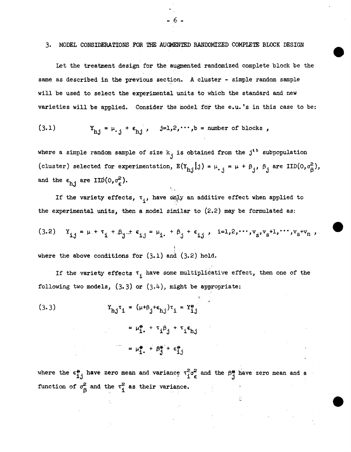## 3. MODEL CONSIDERATIONS FOR THE AUGMENTED RANDOMIZED COMPLETE BLOCK DESIGN

- 6 -

Let the treatment design for the augmented randomized complete block be the same as described in the previous section. A cluster - simple random sample will be used to select the experimental units to which the standard and new varieties will be applied. Consider the model for the e.u. 's in this case to be:

(3.1) 
$$
Y_{h,j} = \mu_{\cdot,j} + \epsilon_{h,j}, \quad j=1,2,\cdots,b = \text{number of blocks}
$$

where a simple random sample of size  $k_i$  is obtained from the j<sup>th</sup> subpopulation (cluster) selected for experimentation,  $E(Y_{h,j}|j) = \mu_{j,j} = \mu + \beta_{j}$ ,  $\beta_{j}$  are IID(0, $\sigma_{\beta}^{2}$ ), and the  $\epsilon_{h,i}$  are IID(0, $\sigma_{\epsilon}^{2}$ ).

If the variety effects,  $\tau_i$ , have only an additive effect when applied to the experimental units, then a model similar to  $(2.2)$  may be formulated as:

(3.2) 
$$
Y_{ij} = \mu + \tau_i + \beta_j + \epsilon_{ij} = \mu_i + \beta_j + \epsilon_{ij}, \quad i=1,2,\cdots,v_{s'}v_{s}+1,\cdots,v_{s}+v_{n},
$$

where the above conditions for  $(3.1)$  and  $(3.2)$  hold.

If the variety effects  $\tau_{\bf i}$  have some multiplicative effect, then one of the following two models,  $(3.3)$  or  $(3.4)$ , might be appropriate:

(3.3)  
\n
$$
Y_{hj} \tau_1 = (\mu + \beta_j + \epsilon_{hj}) \tau_1 = Y_{i,j}^*
$$
\n
$$
= \mu_{i}^* + \tau_i \beta_j + \tau_i \epsilon_{hj}
$$
\n
$$
= \mu_{i}^* + \beta_{j}^* + \epsilon_{i,j}^*
$$

where the  $\epsilon_{ij}^*$  have zero mean and variance  $\tau_i^2 \sigma_{\epsilon}^2$  and the  $\beta_{ij}^*$  have zero mean and a function of  $\sigma_{\beta}^2$  and the  $\tau_i^2$  as their variance.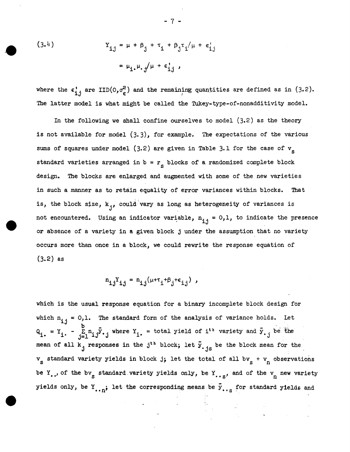(3.4)  
\n
$$
Y_{\mathbf{i} \mathbf{j}} = \mu + \beta_{\mathbf{j}} + \tau_{\mathbf{i}} + \beta_{\mathbf{j}} \tau_{\mathbf{i}} / \mu + \epsilon_{\mathbf{i} \mathbf{j}}'
$$
\n
$$
= \mu_{\mathbf{i} \cdot \mathbf{i}} \mu_{\mathbf{i} \cdot \mathbf{j}} / \mu + \epsilon_{\mathbf{i} \cdot \mathbf{i}}'
$$

where the  $\epsilon_{i,j}^{\prime}$  are IID(0, $\sigma_{\epsilon}^{2}$ ) and the remaining quantities are defined as in (3.2). The latter model is what might be called the Tukey-type-of-nonadditivity model.

In the following we shall confine ourselves to model  $(3.2)$  as the theory is not available for model (3.3), for example. The expectations of the various sums of squares under model (3.2) are given in Table 3.1 for the case of  $\rm v_{\rm g}$ standard varieties arranged in  $b = r_g$  blocks of a randomized complete block design. The blocks are enlarged and augmented with some of the new varieties in such a manner as to retain equality of error variances within blocks. That is, the block size,  $k_{j}$ , could vary as long as heterogeneity of variances is not encountered. Using an indicator variable,  $n_{i,j} = 0, 1$ , to indicate the presence or absence of a variety in a given block j under the assumption that no variety occurs more than once in a block, we could rewrite the response equation of (3.2) as

 $n_{i,j}Y_{i,j} = n_{i,j}(\mu + \tau_i + \beta_j + \epsilon_{i,j})$ ,

which is the usual response equation for a binary incomplete block design for which  $n_{i,j} = 0,1$ . The standard form of the analysis of variance holds. Let  $Q_i = Y_i - \sum_{j=1}^{D} n_{ij} \bar{y} \cdot j$  where  $Y_i =$  total yield of i<sup>th</sup> variety and  $\bar{y} \cdot j$  be the mean of all  $k_j$  responses in the j<sup>th</sup> block; let  $\bar{y}_{\cdot j_S}$  be the block mean for the  $v_{\rm s}$  standard variety yields in block j; let the total of all b $v_{\rm s}$  +  $v_{\rm n}$  observations be Y., of the bv<sub>s</sub> standard variety yields only, be Y<sub>., s</sub>, and of the v<sub>n</sub> new variety yields only, be Y<sub>..n</sub>; let the corresponding means be  $\bar{y}_{\dots S}$  for standard yields and

- 7 -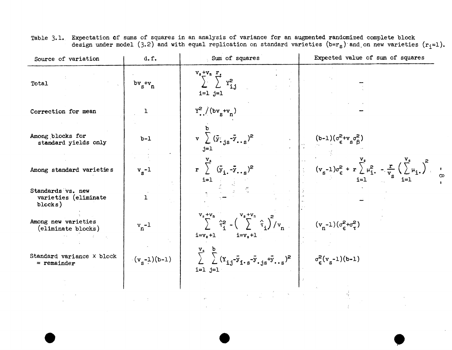| Source of variation                                  | d.f.           | Sum of squares                                                                                                                             | Expected value of sum of squares                                                                         |
|------------------------------------------------------|----------------|--------------------------------------------------------------------------------------------------------------------------------------------|----------------------------------------------------------------------------------------------------------|
| Total                                                | $bv_s+v_n$     | $\sum_{i=1}^{V_s+V_n} \sum_{i=1}^{r} Y_{i,j}^2$<br>$i=1$ $j=1$                                                                             |                                                                                                          |
| Correction for mean                                  | 1              | $Y^2$ /(bv <sub>s</sub> +v <sub>n</sub> )                                                                                                  |                                                                                                          |
| Among blocks for<br>standard yields only             | $b-1$          | $\mathbf{v} \sum (\bar{\mathbf{y}}_{\cdot} \cdot \mathbf{y}_{\cdot} \cdot \bar{\mathbf{y}}_{\cdot} \cdot \mathbf{s})^2$<br>j=1             | $(b-1)(\sigma_{\epsilon}^2+v_{s}\sigma_{\beta}^2)$                                                       |
| Among standard varieties                             | $v_s - 1$      | r $\sum_{i=1}^{V_s} (\bar{y}_{i} - \bar{y}_{i} - s)^2$<br>$i=1$                                                                            | $(v_s-1)\sigma_{\epsilon}^2 + r \sum_{i=1}^{v_s} \mu_{i}^2 - \frac{r}{v_s} (\sum_{i=1}^{v_s} \mu_{i})^2$ |
| Standards vs. new<br>varieties (eliminate<br>blocks) | $\mathbf{I}$   |                                                                                                                                            |                                                                                                          |
| Among new varieties<br>(eliminate blocks)            | $v_n-1$        | $V_s + V_n$<br>$\sum_{i=1}^{N_s + V_n} \hat{\tau}_i^2 - \left(\sum_{i=1}^{N_s + V_n} \hat{\tau}_i\right)^2 / v_n$<br>$i=vs+1$<br>$i=v_s+1$ | $(v_n-1)(\sigma_{\epsilon}^2+\sigma_{\tau}^2)$                                                           |
| Standard variance X block<br>$=$ remainder           | $(v_s-1)(b-1)$ | $\sum_{i=1}^{V_s} \sum_{i=1}^{b} (Y_{i,j} - \bar{y}_{i,s} - \bar{y}_{i,s} + \bar{y}_{i,s})^2$<br>$i=1$ $j=1$                               | $\sigma_{\epsilon}^{2}(v_{s}-1)(b-1)$                                                                    |
|                                                      |                |                                                                                                                                            |                                                                                                          |
|                                                      |                |                                                                                                                                            |                                                                                                          |

 $\bullet$ 

Table 3.1. Expectation of sums of squares in an analysis of variance for an augmented randomized complete block design under model (3.2) and with equal replication on standard varieties (b=r<sub>s</sub>) and on new varieties (r<sub>i</sub>=1).

e

•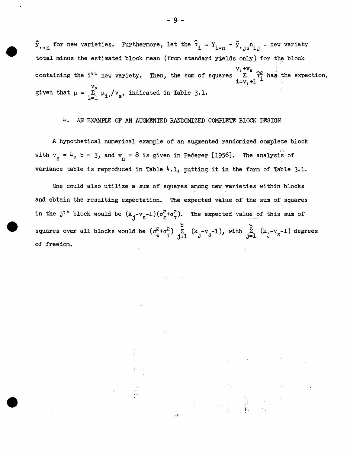$\bar{y}_{\ldots n}$  for new varieties. Furthermore, let the  $\hat{\tau}_i = Y_{i \cdot n} - \bar{y}_{\ldots j s} n_{i,j} =$  new variety total minus the estimated block mean (from standard yields only) for the block containing the i<sup>th</sup> new variety. Then, the sum of squares  $\sum_{i=v_s+1}^{v_s+v_n} \hat{\tau}_i^2$  has the expection,  $v_s$ given that  $\mu = \sum_{i=1}^{V_s} \mu_i / v_s$ , indicated in Table 3.1.

# 4. AN EXAMPLE OF AN AUGMENTED RANDOMIZED COMPlETE BLOCK DESIGN

A hypothetical numerical example of an augmented randomized complete block with  $v_s = 4$ ,  $b = 3$ , and  $v_n = 8$  is given in Federer [1956]. The analysis of variance table is reproduced in Table  $4.1$ , putting it in the form of Table 3.1.

One could also utilize a sum of squares among new varieties within blocks and obtain the resulting expectation. The expected value of the sum of squares in the j<sup>th</sup> block would be  $(k_j - v_s - 1)(\sigma_\epsilon^2 + \sigma_\tau^2)$ . The expected value of this sum of squares over all blocks would be  $(\sigma_{\epsilon}^2+\sigma_{\tau}^2)$   $\sum\limits_{j=1}^b$   $(k_j-v_s-1)$ , with  $\sum\limits_{j=1}^b$   $(k_j-v_s-1)$  degrees of freedom.

Ztr.

 $\label{eq:2.1} \begin{array}{ll} \mathbb{P} & \mathbb{P} & \mathbb{P} \\ \mathbb{P} & \mathbb{P} & \mathbb{P} \\ \mathbb{P} & \mathbb{P} & \mathbb{P} \\ \mathbb{P} & \mathbb{P} & \mathbb{P} \\ \mathbb{P} & \mathbb{P} & \mathbb{P} \end{array}$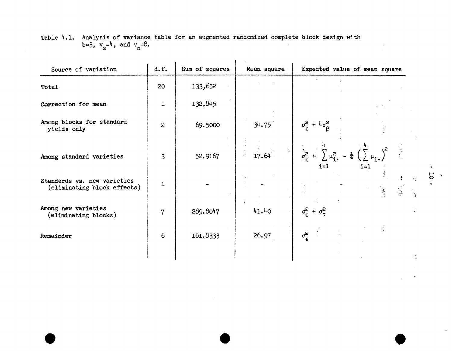| Source of variation                                        | d.f.           | Sum of squares | Mean square | Expected value of mean square                                                   |
|------------------------------------------------------------|----------------|----------------|-------------|---------------------------------------------------------------------------------|
| Total                                                      | 20             | 133,652        |             |                                                                                 |
| Correction for mean                                        | $\mathbf{I}$   | 132,845        |             |                                                                                 |
| Among blocks for standard<br>yields only                   | $\overline{2}$ | 69.5000        | 34.75       | $\sigma_{\epsilon}^{2}$ + $4\sigma_{\beta}^{2}$                                 |
| Among standard varieties                                   | 3              | 52.9167        | 17.64       | $\sigma_{\epsilon}^2$ +<br>$\sum \mu_i^2$ .<br>$-\frac{1}{4}$<br>$i=1$<br>$i=1$ |
| Standards vs. new varieties<br>(eliminating block effects) | $\mathbf{I}$   | $\mathbb{R}^+$ |             | Á<br>$\mathcal{I}^{\alpha}_{\alpha}$                                            |
| Among new varieties<br>(eliminating blocks)                | $\overline{7}$ | 289.8047       | 41.40       | $\sigma_{\epsilon}^2 + \sigma_{\tau}^2$                                         |
| Remainder                                                  | 6              | 161.8333       | 26.97       | $\sigma_{\boldsymbol{\epsilon}}^2$                                              |
|                                                            |                |                |             |                                                                                 |

 $\bullet$ 

Table  $4.1$ . Analysis of variance table for an augmented randomized complete block design with b=3,  $v_s = 4$ , and  $v_n = 8$ .

e

 $\mathbf{I}$  $\overline{5}$  $\mathbf{r}$ 

 $\sim$ 

•

 $\bullet$ 

 $\gamma_{\rm e}$ 

 $\mathcal{A}^{\mathcal{A}}$